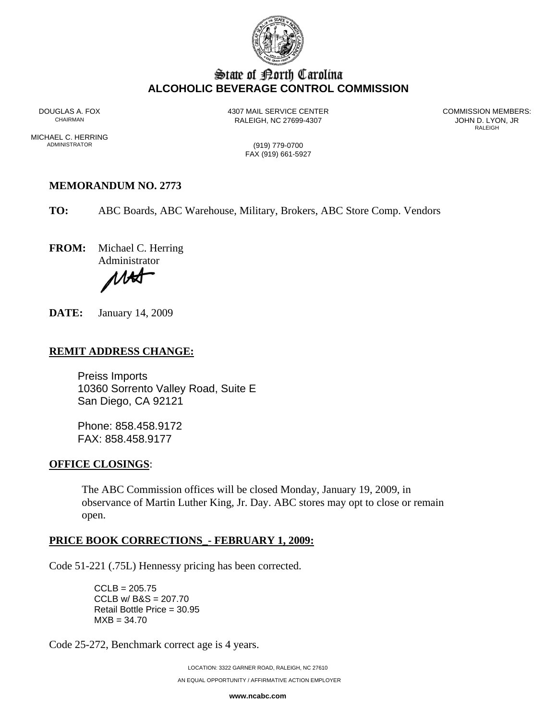

# State of Borth Carolina **ALCOHOLIC BEVERAGE CONTROL COMMISSION**

DOUGLAS A. FOX 4307 MAIL SERVICE CENTER COMMISSION MEMBERS: RALEIGH, NC 27699-4307 **CHAIRMAN RALEIGH, NC 27699-4307** 

RALEIGH **RALEIGH** 

MICHAEL C. HERRING<br>ADMINISTRATOR

(919) 779-0700 FAX (919) 661-5927

# **MEMORANDUM NO. 2773**

**TO:** ABC Boards, ABC Warehouse, Military, Brokers, ABC Store Comp. Vendors

**FROM:** Michael C. Herring

Administrator

ИH

**DATE:** January 14, 2009

## **REMIT ADDRESS CHANGE:**

Preiss Imports 10360 Sorrento Valley Road, Suite E San Diego, CA 92121

Phone: 858.458.9172 FAX: 858.458.9177

#### **OFFICE CLOSINGS**:

The ABC Commission offices will be closed Monday, January 19, 2009, in observance of Martin Luther King, Jr. Day. ABC stores may opt to close or remain open.

#### **PRICE BOOK CORRECTIONS\_- FEBRUARY 1, 2009:**

Code 51-221 (.75L) Hennessy pricing has been corrected.

 $CCLB = 205.75$ CCLB w/ B&S = 207.70 Retail Bottle Price = 30.95  $MXB = 34.70$ 

Code 25-272, Benchmark correct age is 4 years.

LOCATION: 3322 GARNER ROAD, RALEIGH, NC 27610

**www.ncabc.com**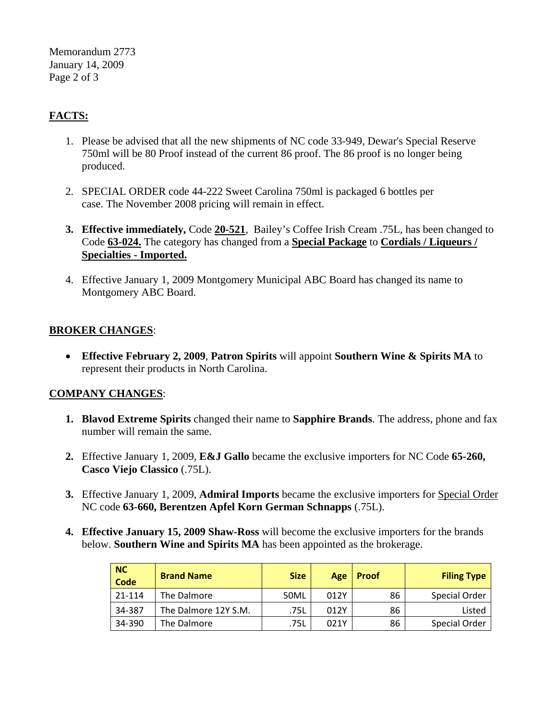Memorandum 2773 January 14, 2009 Page 2 of 3

# **FACTS:**

- 1. Please be advised that all the new shipments of NC code 33-949, Dewar's Special Reserve 750ml will be 80 Proof instead of the current 86 proof. The 86 proof is no longer being produced.
- 2. SPECIAL ORDER code 44-222 Sweet Carolina 750ml is packaged 6 bottles per case. The November 2008 pricing will remain in effect.
- **3. Effective immediately,** Code **20-521**, Bailey's Coffee Irish Cream .75L, has been changed to Code **63-024.** The category has changed from a **Special Package** to **Cordials / Liqueurs / Specialties - Imported.**
- 4. Effective January 1, 2009 Montgomery Municipal ABC Board has changed its name to Montgomery ABC Board.

## **BROKER CHANGES**:

• **Effective February 2, 2009**, **Patron Spirits** will appoint **Southern Wine & Spirits MA** to represent their products in North Carolina.

#### **COMPANY CHANGES**:

- **1. Blavod Extreme Spirits** changed their name to **Sapphire Brands**. The address, phone and fax number will remain the same.
- **2.** Effective January 1, 2009, **E&J Gallo** became the exclusive importers for NC Code **65-260, Casco Viejo Classico** (.75L).
- **3.** Effective January 1, 2009, **Admiral Imports** became the exclusive importers for Special Order NC code **63-660, Berentzen Apfel Korn German Schnapps** (.75L).
- **4. Effective January 15, 2009 Shaw-Ross** will become the exclusive importers for the brands below. **Southern Wine and Spirits MA** has been appointed as the brokerage.

| <b>NC</b><br>Code | <b>Brand Name</b>    | <b>Size</b> | Age  | <b>Proof</b> | <b>Filing Type</b> |
|-------------------|----------------------|-------------|------|--------------|--------------------|
| 21-114            | The Dalmore          | 50ML        | 012Y | 86           | Special Order      |
| 34-387            | The Dalmore 12Y S.M. | .75L        | 012Y | 86           | Listed             |
| 34-390            | The Dalmore          | .75L        | 021Y | 86           | Special Order      |